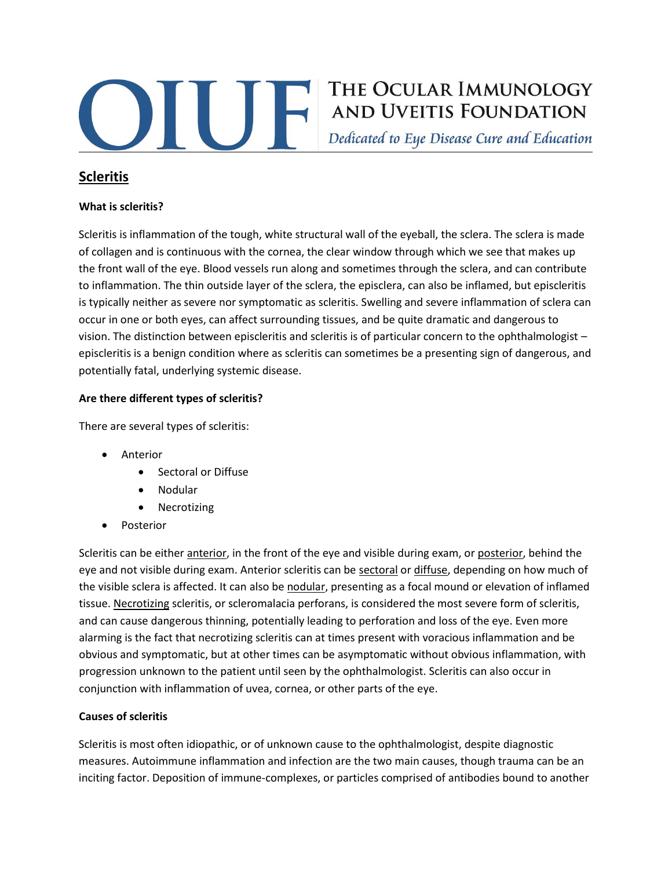

# THE OCULAR IMMUNOLOGY THE OCULAR IMMUNOLOGY<br>AND UVEITIS FOUNDATION

Dedicated to Eye Disease Cure and Education

# **Scleritis**

# **What is scleritis?**

Scleritis is inflammation of the tough, white structural wall of the eyeball, the sclera. The sclera is made of collagen and is continuous with the cornea, the clear window through which we see that makes up the front wall of the eye. Blood vessels run along and sometimes through the sclera, and can contribute to inflammation. The thin outside layer of the sclera, the episclera, can also be inflamed, but episcleritis is typically neither as severe nor symptomatic as scleritis. Swelling and severe inflammation of sclera can occur in one or both eyes, can affect surrounding tissues, and be quite dramatic and dangerous to vision. The distinction between episcleritis and scleritis is of particular concern to the ophthalmologist – episcleritis is a benign condition where as scleritis can sometimes be a presenting sign of dangerous, and potentially fatal, underlying systemic disease.

# **Are there different types of scleritis?**

There are several types of scleritis:

- Anterior
	- Sectoral or Diffuse
	- Nodular
	- Necrotizing
- Posterior

Scleritis can be either anterior, in the front of the eye and visible during exam, or posterior, behind the eye and not visible during exam. Anterior scleritis can be sectoral or diffuse, depending on how much of the visible sclera is affected. It can also be nodular, presenting as a focal mound or elevation of inflamed tissue. Necrotizing scleritis, or scleromalacia perforans, is considered the most severe form of scleritis, and can cause dangerous thinning, potentially leading to perforation and loss of the eye. Even more alarming is the fact that necrotizing scleritis can at times present with voracious inflammation and be obvious and symptomatic, but at other times can be asymptomatic without obvious inflammation, with progression unknown to the patient until seen by the ophthalmologist. Scleritis can also occur in conjunction with inflammation of uvea, cornea, or other parts of the eye.

#### **Causes of scleritis**

Scleritis is most often idiopathic, or of unknown cause to the ophthalmologist, despite diagnostic measures. Autoimmune inflammation and infection are the two main causes, though trauma can be an inciting factor. Deposition of immune-complexes, or particles comprised of antibodies bound to another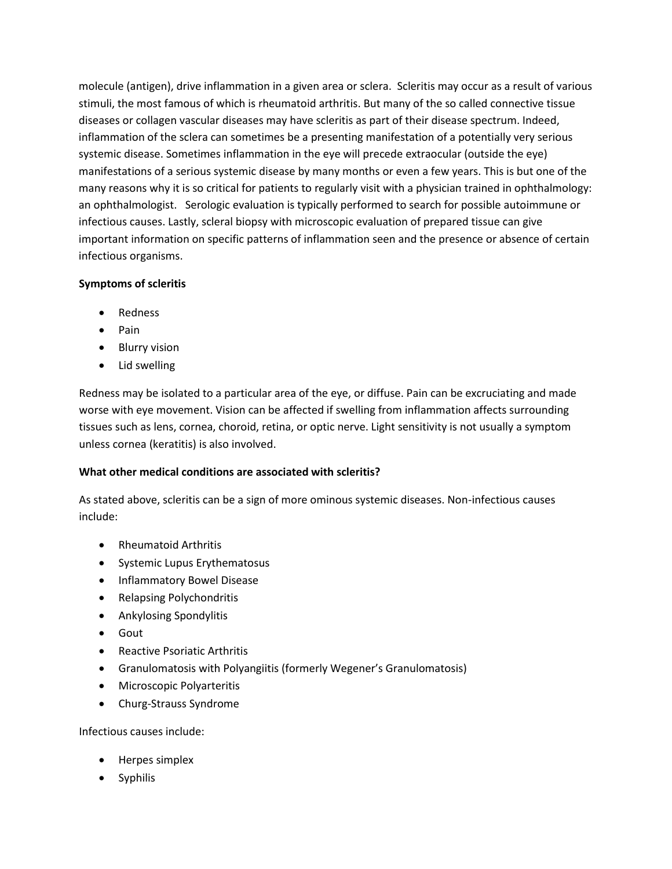molecule (antigen), drive inflammation in a given area or sclera. Scleritis may occur as a result of various stimuli, the most famous of which is rheumatoid arthritis. But many of the so called connective tissue diseases or collagen vascular diseases may have scleritis as part of their disease spectrum. Indeed, inflammation of the sclera can sometimes be a presenting manifestation of a potentially very serious systemic disease. Sometimes inflammation in the eye will precede extraocular (outside the eye) manifestations of a serious systemic disease by many months or even a few years. This is but one of the many reasons why it is so critical for patients to regularly visit with a physician trained in ophthalmology: an ophthalmologist. Serologic evaluation is typically performed to search for possible autoimmune or infectious causes. Lastly, scleral biopsy with microscopic evaluation of prepared tissue can give important information on specific patterns of inflammation seen and the presence or absence of certain infectious organisms.

# **Symptoms of scleritis**

- Redness
- Pain
- Blurry vision
- Lid swelling

Redness may be isolated to a particular area of the eye, or diffuse. Pain can be excruciating and made worse with eye movement. Vision can be affected if swelling from inflammation affects surrounding tissues such as lens, cornea, choroid, retina, or optic nerve. Light sensitivity is not usually a symptom unless cornea (keratitis) is also involved.

# **What other medical conditions are associated with scleritis?**

As stated above, scleritis can be a sign of more ominous systemic diseases. Non-infectious causes include:

- Rheumatoid Arthritis
- Systemic Lupus Erythematosus
- Inflammatory Bowel Disease
- Relapsing Polychondritis
- Ankylosing Spondylitis
- Gout
- Reactive Psoriatic Arthritis
- Granulomatosis with Polyangiitis (formerly Wegener's Granulomatosis)
- Microscopic Polyarteritis
- Churg-Strauss Syndrome

# Infectious causes include:

- Herpes simplex
- Syphilis